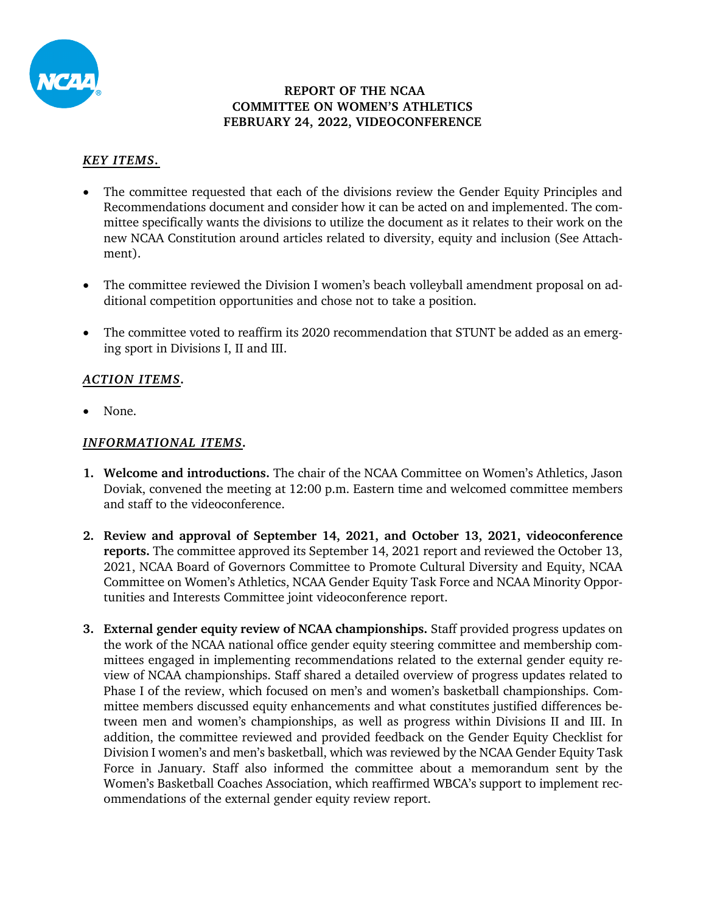

#### **REPORT OF THE NCAA COMMITTEE ON WOMEN'S ATHLETICS FEBRUARY 24, 2022, VIDEOCONFERENCE**

### *KEY ITEMS.*

- The committee requested that each of the divisions review the Gender Equity Principles and Recommendations document and consider how it can be acted on and implemented. The committee specifically wants the divisions to utilize the document as it relates to their work on the new NCAA Constitution around articles related to diversity, equity and inclusion (See Attachment).
- The committee reviewed the Division I women's beach volleyball amendment proposal on additional competition opportunities and chose not to take a position.
- The committee voted to reaffirm its 2020 recommendation that STUNT be added as an emerging sport in Divisions I, II and III.

## *ACTION ITEMS.*

• None.

### *INFORMATIONAL ITEMS.*

- **1. Welcome and introductions.** The chair of the NCAA Committee on Women's Athletics, Jason Doviak, convened the meeting at 12:00 p.m. Eastern time and welcomed committee members and staff to the videoconference.
- **2. Review and approval of September 14, 2021, and October 13, 2021, videoconference reports.** The committee approved its September 14, 2021 report and reviewed the October 13, 2021, NCAA Board of Governors Committee to Promote Cultural Diversity and Equity, NCAA Committee on Women's Athletics, NCAA Gender Equity Task Force and NCAA Minority Opportunities and Interests Committee joint videoconference report.
- **3. External gender equity review of NCAA championships.** Staff provided progress updates on the work of the NCAA national office gender equity steering committee and membership committees engaged in implementing recommendations related to the external gender equity review of NCAA championships. Staff shared a detailed overview of progress updates related to Phase I of the review, which focused on men's and women's basketball championships. Committee members discussed equity enhancements and what constitutes justified differences between men and women's championships, as well as progress within Divisions II and III. In addition, the committee reviewed and provided feedback on the Gender Equity Checklist for Division I women's and men's basketball, which was reviewed by the NCAA Gender Equity Task Force in January. Staff also informed the committee about a memorandum sent by the Women's Basketball Coaches Association, which reaffirmed WBCA's support to implement recommendations of the external gender equity review report.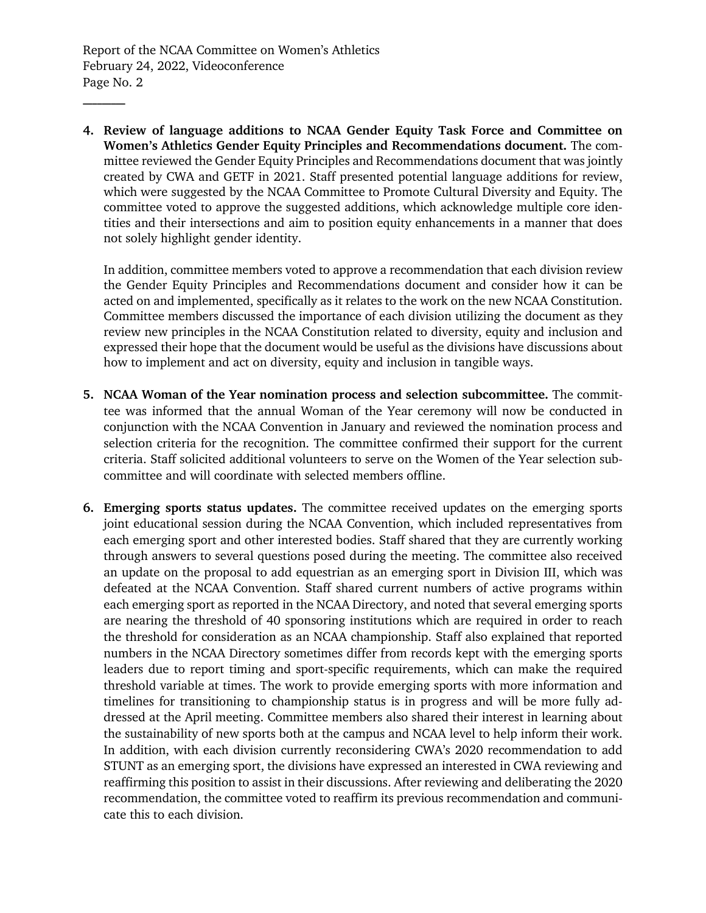Report of the NCAA Committee on Women's Athletics February 24, 2022, Videoconference Page No. 2

**\_\_\_\_\_\_\_\_\_**

**4. Review of language additions to NCAA Gender Equity Task Force and Committee on Women's Athletics Gender Equity Principles and Recommendations document.** The committee reviewed the Gender Equity Principles and Recommendations document that was jointly created by CWA and GETF in 2021. Staff presented potential language additions for review, which were suggested by the NCAA Committee to Promote Cultural Diversity and Equity. The committee voted to approve the suggested additions, which acknowledge multiple core identities and their intersections and aim to position equity enhancements in a manner that does not solely highlight gender identity.

In addition, committee members voted to approve a recommendation that each division review the Gender Equity Principles and Recommendations document and consider how it can be acted on and implemented, specifically as it relates to the work on the new NCAA Constitution. Committee members discussed the importance of each division utilizing the document as they review new principles in the NCAA Constitution related to diversity, equity and inclusion and expressed their hope that the document would be useful as the divisions have discussions about how to implement and act on diversity, equity and inclusion in tangible ways.

- **5. NCAA Woman of the Year nomination process and selection subcommittee.** The committee was informed that the annual Woman of the Year ceremony will now be conducted in conjunction with the NCAA Convention in January and reviewed the nomination process and selection criteria for the recognition. The committee confirmed their support for the current criteria. Staff solicited additional volunteers to serve on the Women of the Year selection subcommittee and will coordinate with selected members offline.
- **6. Emerging sports status updates.** The committee received updates on the emerging sports joint educational session during the NCAA Convention, which included representatives from each emerging sport and other interested bodies. Staff shared that they are currently working through answers to several questions posed during the meeting. The committee also received an update on the proposal to add equestrian as an emerging sport in Division III, which was defeated at the NCAA Convention. Staff shared current numbers of active programs within each emerging sport as reported in the NCAA Directory, and noted that several emerging sports are nearing the threshold of 40 sponsoring institutions which are required in order to reach the threshold for consideration as an NCAA championship. Staff also explained that reported numbers in the NCAA Directory sometimes differ from records kept with the emerging sports leaders due to report timing and sport-specific requirements, which can make the required threshold variable at times. The work to provide emerging sports with more information and timelines for transitioning to championship status is in progress and will be more fully addressed at the April meeting. Committee members also shared their interest in learning about the sustainability of new sports both at the campus and NCAA level to help inform their work. In addition, with each division currently reconsidering CWA's 2020 recommendation to add STUNT as an emerging sport, the divisions have expressed an interested in CWA reviewing and reaffirming this position to assist in their discussions. After reviewing and deliberating the 2020 recommendation, the committee voted to reaffirm its previous recommendation and communicate this to each division.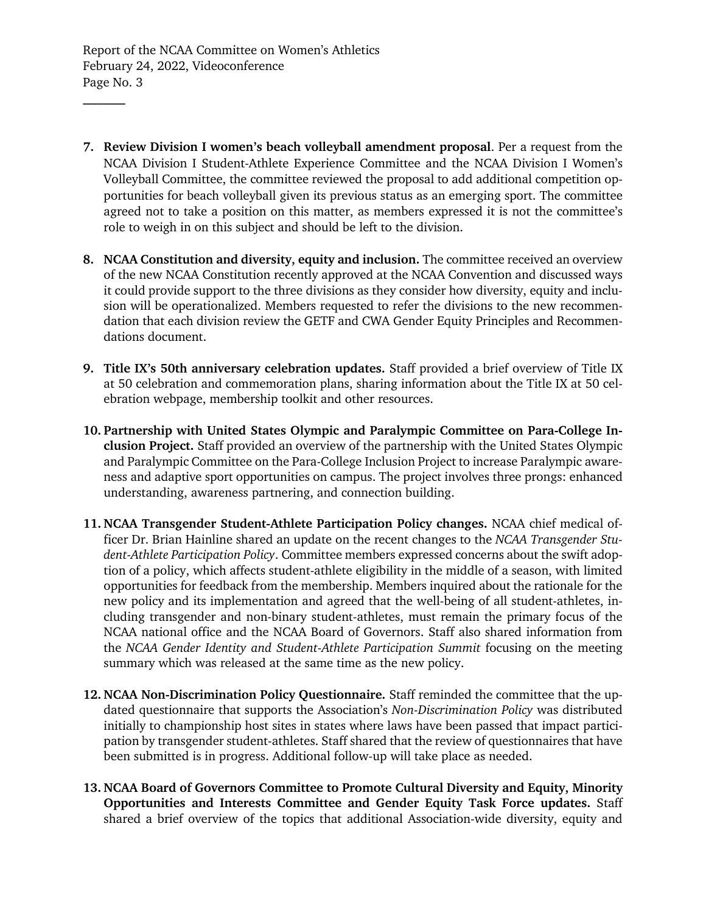Report of the NCAA Committee on Women's Athletics February 24, 2022, Videoconference Page No. 3

**\_\_\_\_\_\_\_\_\_**

- **7. Review Division I women's beach volleyball amendment proposal**. Per a request from the NCAA Division I Student-Athlete Experience Committee and the NCAA Division I Women's Volleyball Committee, the committee reviewed the proposal to add additional competition opportunities for beach volleyball given its previous status as an emerging sport. The committee agreed not to take a position on this matter, as members expressed it is not the committee's role to weigh in on this subject and should be left to the division.
- **8. NCAA Constitution and diversity, equity and inclusion.** The committee received an overview of the new NCAA Constitution recently approved at the NCAA Convention and discussed ways it could provide support to the three divisions as they consider how diversity, equity and inclusion will be operationalized. Members requested to refer the divisions to the new recommendation that each division review the GETF and CWA Gender Equity Principles and Recommendations document.
- **9. Title IX's 50th anniversary celebration updates.** Staff provided a brief overview of Title IX at 50 celebration and commemoration plans, sharing information about the Title IX at 50 celebration webpage, membership toolkit and other resources.
- **10. Partnership with United States Olympic and Paralympic Committee on Para-College Inclusion Project.** Staff provided an overview of the partnership with the United States Olympic and Paralympic Committee on the Para-College Inclusion Project to increase Paralympic awareness and adaptive sport opportunities on campus. The project involves three prongs: enhanced understanding, awareness partnering, and connection building.
- **11. NCAA Transgender Student-Athlete Participation Policy changes.** NCAA chief medical officer Dr. Brian Hainline shared an update on the recent changes to the *NCAA Transgender Student-Athlete Participation Policy*. Committee members expressed concerns about the swift adoption of a policy, which affects student-athlete eligibility in the middle of a season, with limited opportunities for feedback from the membership. Members inquired about the rationale for the new policy and its implementation and agreed that the well-being of all student-athletes, including transgender and non-binary student-athletes, must remain the primary focus of the NCAA national office and the NCAA Board of Governors. Staff also shared information from the *NCAA Gender Identity and Student-Athlete Participation Summit* focusing on the meeting summary which was released at the same time as the new policy.
- **12. NCAA Non-Discrimination Policy Questionnaire.** Staff reminded the committee that the updated questionnaire that supports the Association's *Non-Discrimination Policy* was distributed initially to championship host sites in states where laws have been passed that impact participation by transgender student-athletes. Staff shared that the review of questionnaires that have been submitted is in progress. Additional follow-up will take place as needed.
- **13. NCAA Board of Governors Committee to Promote Cultural Diversity and Equity, Minority Opportunities and Interests Committee and Gender Equity Task Force updates.** Staff shared a brief overview of the topics that additional Association-wide diversity, equity and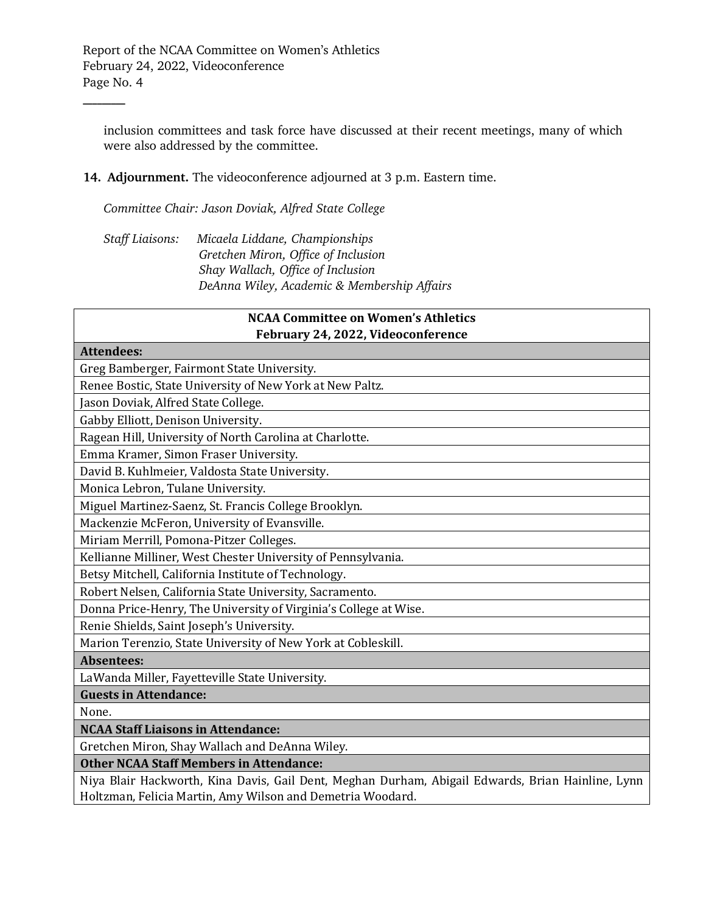Report of the NCAA Committee on Women's Athletics February 24, 2022, Videoconference Page No. 4

**\_\_\_\_\_\_\_\_\_**

inclusion committees and task force have discussed at their recent meetings, many of which were also addressed by the committee.

## **14. Adjournment.** The videoconference adjourned at 3 p.m. Eastern time.

*Committee Chair: Jason Doviak, Alfred State College*

*Staff Liaisons: Micaela Liddane, Championships Gretchen Miron, Office of Inclusion Shay Wallach, Office of Inclusion DeAnna Wiley, Academic & Membership Affairs*

| <b>NCAA Committee on Women's Athletics</b><br>February 24, 2022, Videoconference                  |
|---------------------------------------------------------------------------------------------------|
| <b>Attendees:</b>                                                                                 |
| Greg Bamberger, Fairmont State University.                                                        |
| Renee Bostic, State University of New York at New Paltz.                                          |
| Jason Doviak, Alfred State College.                                                               |
| Gabby Elliott, Denison University.                                                                |
| Ragean Hill, University of North Carolina at Charlotte.                                           |
| Emma Kramer, Simon Fraser University.                                                             |
| David B. Kuhlmeier, Valdosta State University.                                                    |
| Monica Lebron, Tulane University.                                                                 |
| Miguel Martinez-Saenz, St. Francis College Brooklyn.                                              |
| Mackenzie McFeron, University of Evansville.                                                      |
| Miriam Merrill, Pomona-Pitzer Colleges.                                                           |
| Kellianne Milliner, West Chester University of Pennsylvania.                                      |
| Betsy Mitchell, California Institute of Technology.                                               |
| Robert Nelsen, California State University, Sacramento.                                           |
| Donna Price-Henry, The University of Virginia's College at Wise.                                  |
| Renie Shields, Saint Joseph's University.                                                         |
| Marion Terenzio, State University of New York at Cobleskill.                                      |
| <b>Absentees:</b>                                                                                 |
| LaWanda Miller, Fayetteville State University.                                                    |
| <b>Guests in Attendance:</b>                                                                      |
| None.                                                                                             |
| <b>NCAA Staff Liaisons in Attendance:</b>                                                         |
| Gretchen Miron, Shay Wallach and DeAnna Wiley.                                                    |
| <b>Other NCAA Staff Members in Attendance:</b>                                                    |
| Niya Blair Hackworth, Kina Davis, Gail Dent, Meghan Durham, Abigail Edwards, Brian Hainline, Lynn |
| Holtzman, Felicia Martin, Amy Wilson and Demetria Woodard.                                        |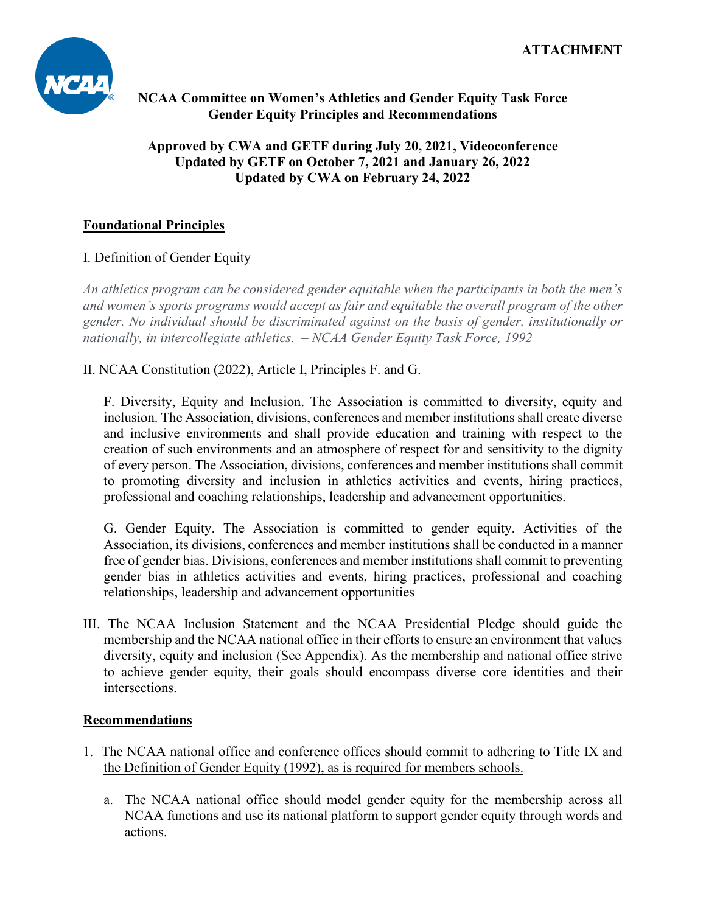

# **NCAA Committee on Women's Athletics and Gender Equity Task Force Gender Equity Principles and Recommendations**

## **Approved by CWA and GETF during July 20, 2021, Videoconference Updated by GETF on October 7, 2021 and January 26, 2022 Updated by CWA on February 24, 2022**

# **Foundational Principles**

# I. Definition of Gender Equity

*An athletics program can be considered gender equitable when the participants in both the men's and women's sports programs would accept as fair and equitable the overall program of the other gender. No individual should be discriminated against on the basis of gender, institutionally or nationally, in intercollegiate athletics. – NCAA Gender Equity Task Force, 1992*

II. NCAA Constitution (2022), Article I, Principles F. and G.

F. Diversity, Equity and Inclusion. The Association is committed to diversity, equity and inclusion. The Association, divisions, conferences and member institutions shall create diverse and inclusive environments and shall provide education and training with respect to the creation of such environments and an atmosphere of respect for and sensitivity to the dignity of every person. The Association, divisions, conferences and member institutions shall commit to promoting diversity and inclusion in athletics activities and events, hiring practices, professional and coaching relationships, leadership and advancement opportunities.

G. Gender Equity. The Association is committed to gender equity. Activities of the Association, its divisions, conferences and member institutions shall be conducted in a manner free of gender bias. Divisions, conferences and member institutions shall commit to preventing gender bias in athletics activities and events, hiring practices, professional and coaching relationships, leadership and advancement opportunities

III. The NCAA Inclusion Statement and the NCAA Presidential Pledge should guide the membership and the NCAA national office in their efforts to ensure an environment that values diversity, equity and inclusion (See Appendix). As the membership and national office strive to achieve gender equity, their goals should encompass diverse core identities and their intersections.

## **Recommendations**

- 1. The NCAA national office and conference offices should commit to adhering to Title IX and the Definition of Gender Equity (1992), as is required for members schools.
	- a. The NCAA national office should model gender equity for the membership across all NCAA functions and use its national platform to support gender equity through words and actions.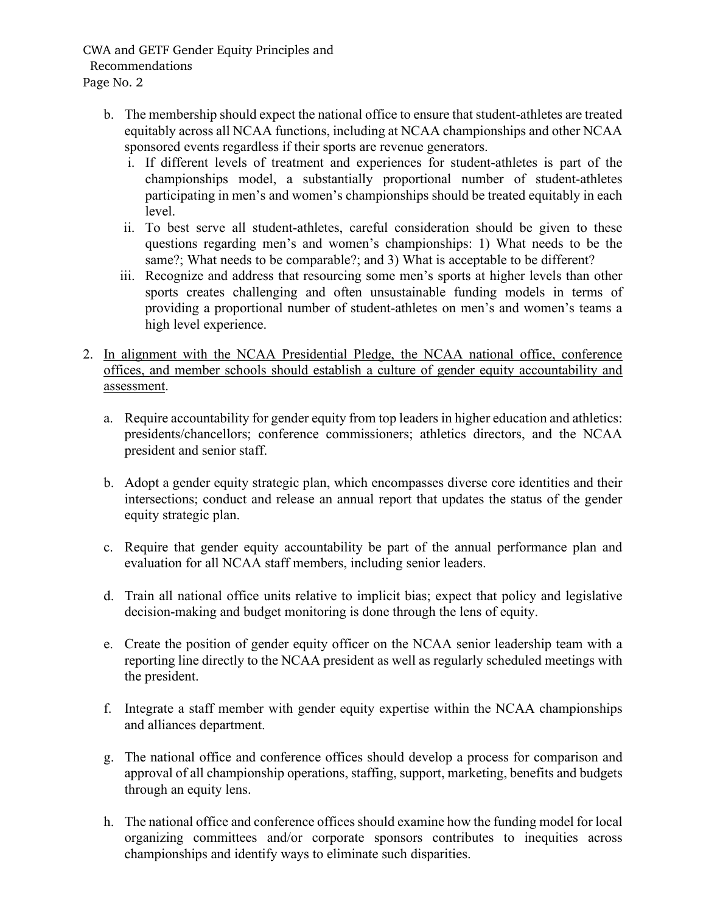CWA and GETF Gender Equity Principles and Recommendations Page No. 2

- b. The membership should expect the national office to ensure that student-athletes are treated equitably across all NCAA functions, including at NCAA championships and other NCAA sponsored events regardless if their sports are revenue generators.
	- i. If different levels of treatment and experiences for student-athletes is part of the championships model, a substantially proportional number of student-athletes participating in men's and women's championships should be treated equitably in each level.
	- ii. To best serve all student-athletes, careful consideration should be given to these questions regarding men's and women's championships: 1) What needs to be the same?; What needs to be comparable?; and 3) What is acceptable to be different?
	- iii. Recognize and address that resourcing some men's sports at higher levels than other sports creates challenging and often unsustainable funding models in terms of providing a proportional number of student-athletes on men's and women's teams a high level experience.
- 2. In alignment with the NCAA Presidential Pledge, the NCAA national office, conference offices, and member schools should establish a culture of gender equity accountability and assessment.
	- a. Require accountability for gender equity from top leaders in higher education and athletics: presidents/chancellors; conference commissioners; athletics directors, and the NCAA president and senior staff.
	- b. Adopt a gender equity strategic plan, which encompasses diverse core identities and their intersections; conduct and release an annual report that updates the status of the gender equity strategic plan.
	- c. Require that gender equity accountability be part of the annual performance plan and evaluation for all NCAA staff members, including senior leaders.
	- d. Train all national office units relative to implicit bias; expect that policy and legislative decision-making and budget monitoring is done through the lens of equity.
	- e. Create the position of gender equity officer on the NCAA senior leadership team with a reporting line directly to the NCAA president as well as regularly scheduled meetings with the president.
	- f. Integrate a staff member with gender equity expertise within the NCAA championships and alliances department.
	- g. The national office and conference offices should develop a process for comparison and approval of all championship operations, staffing, support, marketing, benefits and budgets through an equity lens.
	- h. The national office and conference offices should examine how the funding model for local organizing committees and/or corporate sponsors contributes to inequities across championships and identify ways to eliminate such disparities.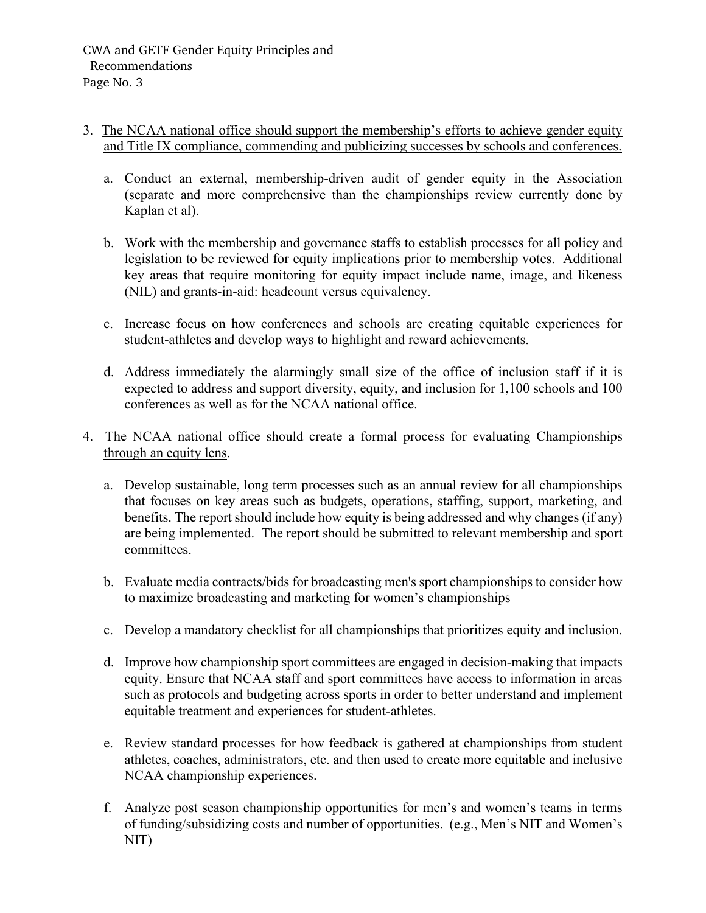### 3. The NCAA national office should support the membership's efforts to achieve gender equity and Title IX compliance, commending and publicizing successes by schools and conferences.

- a. Conduct an external, membership-driven audit of gender equity in the Association (separate and more comprehensive than the championships review currently done by Kaplan et al).
- b. Work with the membership and governance staffs to establish processes for all policy and legislation to be reviewed for equity implications prior to membership votes. Additional key areas that require monitoring for equity impact include name, image, and likeness (NIL) and grants-in-aid: headcount versus equivalency.
- c. Increase focus on how conferences and schools are creating equitable experiences for student-athletes and develop ways to highlight and reward achievements.
- d. Address immediately the alarmingly small size of the office of inclusion staff if it is expected to address and support diversity, equity, and inclusion for 1,100 schools and 100 conferences as well as for the NCAA national office.
- 4. The NCAA national office should create a formal process for evaluating Championships through an equity lens.
	- a. Develop sustainable, long term processes such as an annual review for all championships that focuses on key areas such as budgets, operations, staffing, support, marketing, and benefits. The report should include how equity is being addressed and why changes (if any) are being implemented. The report should be submitted to relevant membership and sport committees.
	- b. Evaluate media contracts/bids for broadcasting men's sport championships to consider how to maximize broadcasting and marketing for women's championships
	- c. Develop a mandatory checklist for all championships that prioritizes equity and inclusion.
	- d. Improve how championship sport committees are engaged in decision-making that impacts equity. Ensure that NCAA staff and sport committees have access to information in areas such as protocols and budgeting across sports in order to better understand and implement equitable treatment and experiences for student-athletes.
	- e. Review standard processes for how feedback is gathered at championships from student athletes, coaches, administrators, etc. and then used to create more equitable and inclusive NCAA championship experiences.
	- f. Analyze post season championship opportunities for men's and women's teams in terms of funding/subsidizing costs and number of opportunities. (e.g., Men's NIT and Women's NIT)